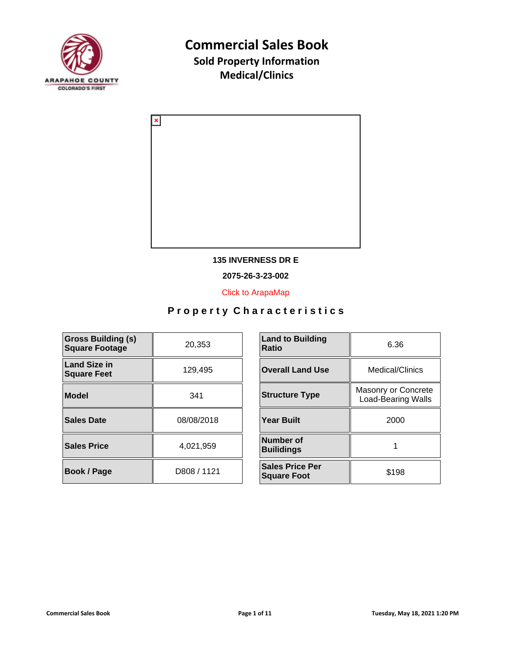



#### **135 INVERNESS DR E**

**2075-26-3-23-002**

[Click to ArapaMap](https://gis.arapahoegov.com/arapamaplite/?PARCEL=2075-26-3-23-002)

| <b>Gross Building (s)</b><br><b>Square Footage</b> | 20,353      | <b>Land to Building</b><br>Ratio             |
|----------------------------------------------------|-------------|----------------------------------------------|
| <b>Land Size in</b><br><b>Square Feet</b>          | 129.495     | <b>Overall Land Use</b>                      |
| <b>Model</b>                                       | 341         | <b>Structure Type</b>                        |
| <b>Sales Date</b>                                  | 08/08/2018  | <b>Year Built</b>                            |
| <b>Sales Price</b>                                 | 4,021,959   | <b>Number of</b><br><b>Builidings</b>        |
| Book / Page                                        | D808 / 1121 | <b>Sales Price Per</b><br><b>Square Foot</b> |

| <b>Land to Building</b><br><b>Ratio</b>      | 6.36                                             |  |
|----------------------------------------------|--------------------------------------------------|--|
| <b>Overall Land Use</b>                      | Medical/Clinics                                  |  |
| <b>Structure Type</b>                        | Masonry or Concrete<br><b>Load-Bearing Walls</b> |  |
| <b>Year Built</b>                            | 2000                                             |  |
| Number of<br><b>Builidings</b>               |                                                  |  |
| <b>Sales Price Per</b><br><b>Square Foot</b> | \$198                                            |  |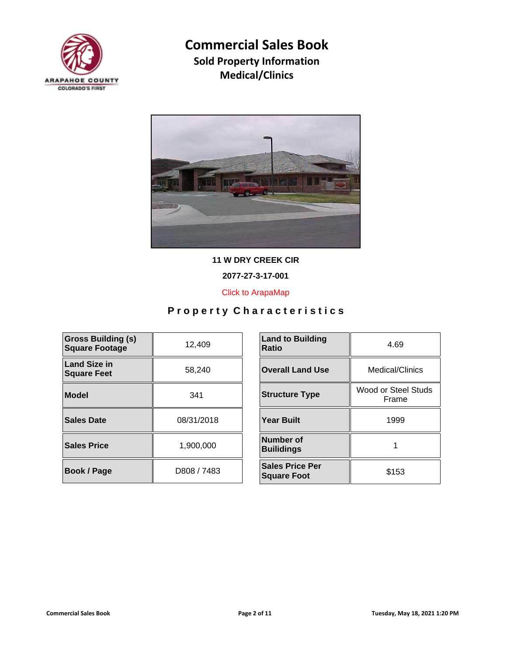



**11 W DRY CREEK CIR**

**2077-27-3-17-001**

[Click to ArapaMap](https://gis.arapahoegov.com/arapamaplite/?PARCEL=2077-27-3-17-001)

| <b>Gross Building (s)</b><br><b>Square Footage</b> | 12,409      | <b>Land to Building</b><br><b>Ratio</b>      |
|----------------------------------------------------|-------------|----------------------------------------------|
| <b>Land Size in</b><br><b>Square Feet</b>          | 58,240      | <b>Overall Land Use</b>                      |
| Model                                              | 341         | <b>Structure Type</b>                        |
| Sales Date                                         | 08/31/2018  | <b>Year Built</b>                            |
| <b>Sales Price</b>                                 | 1,900,000   | Number of<br><b>Builidings</b>               |
| Book / Page                                        | D808 / 7483 | <b>Sales Price Per</b><br><b>Square Foot</b> |

| <b>Land to Building</b><br>Ratio             | 4.69                         |  |
|----------------------------------------------|------------------------------|--|
| <b>Overall Land Use</b>                      | Medical/Clinics              |  |
| <b>Structure Type</b>                        | Wood or Steel Studs<br>Frame |  |
| <b>Year Built</b>                            | 1999                         |  |
| Number of<br><b>Builidings</b>               |                              |  |
| <b>Sales Price Per</b><br><b>Square Foot</b> | \$153                        |  |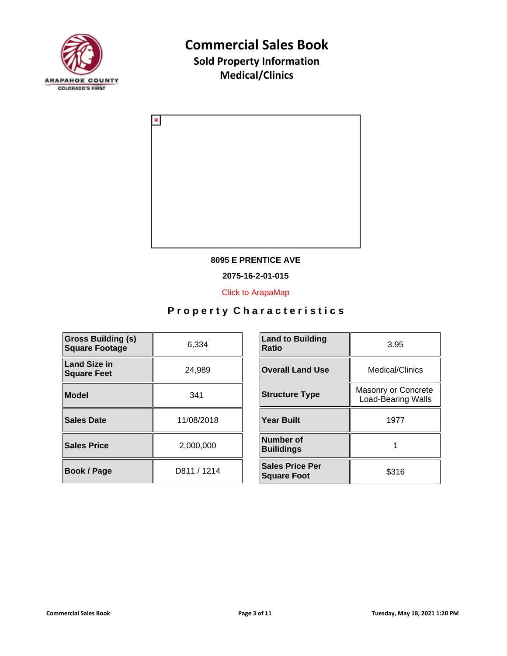



#### **8095 E PRENTICE AVE**

**2075-16-2-01-015**

[Click to ArapaMap](https://gis.arapahoegov.com/arapamaplite/?PARCEL=2075-16-2-01-015)

| <b>Gross Building (s)</b><br><b>Square Footage</b> | 6,334       | <b>Land to Building</b><br><b>Ratio</b>      |
|----------------------------------------------------|-------------|----------------------------------------------|
| <b>Land Size in</b><br><b>Square Feet</b>          | 24,989      | <b>Overall Land Use</b>                      |
| <b>Model</b>                                       | 341         | <b>Structure Type</b>                        |
| <b>Sales Date</b>                                  | 11/08/2018  | <b>Year Built</b>                            |
| <b>Sales Price</b>                                 | 2,000,000   | <b>Number of</b><br><b>Builidings</b>        |
| Book / Page                                        | D811 / 1214 | <b>Sales Price Per</b><br><b>Square Foot</b> |

| <b>Land to Building</b><br>Ratio             | 3.95                                             |  |
|----------------------------------------------|--------------------------------------------------|--|
| <b>Overall Land Use</b>                      | Medical/Clinics                                  |  |
| <b>Structure Type</b>                        | Masonry or Concrete<br><b>Load-Bearing Walls</b> |  |
| <b>Year Built</b>                            | 1977                                             |  |
| Number of<br><b>Builidings</b>               |                                                  |  |
| <b>Sales Price Per</b><br><b>Square Foot</b> | \$316                                            |  |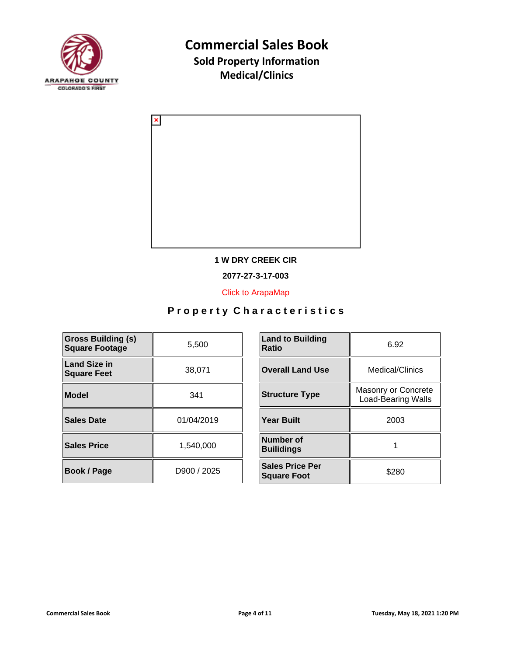



#### **1 W DRY CREEK CIR**

**2077-27-3-17-003**

[Click to ArapaMap](https://gis.arapahoegov.com/arapamaplite/?PARCEL=2077-27-3-17-003)

| <b>Gross Building (s)</b><br><b>Square Footage</b> | 5,500       | <b>Land to Building</b><br><b>Ratio</b>      |
|----------------------------------------------------|-------------|----------------------------------------------|
| <b>Land Size in</b><br><b>Square Feet</b>          | 38,071      | <b>Overall Land Use</b>                      |
| Model                                              | 341         | <b>Structure Type</b>                        |
| Sales Date                                         | 01/04/2019  | <b>Year Built</b>                            |
| <b>Sales Price</b>                                 | 1,540,000   | Number of<br><b>Builidings</b>               |
| <b>Book / Page</b>                                 | D900 / 2025 | <b>Sales Price Per</b><br><b>Square Foot</b> |

| <b>Land to Building</b><br>Ratio             | 6.92                                             |  |
|----------------------------------------------|--------------------------------------------------|--|
| <b>Overall Land Use</b>                      | Medical/Clinics                                  |  |
| <b>Structure Type</b>                        | Masonry or Concrete<br><b>Load-Bearing Walls</b> |  |
| <b>Year Built</b>                            | 2003                                             |  |
| Number of<br><b>Builidings</b>               |                                                  |  |
| <b>Sales Price Per</b><br><b>Square Foot</b> | \$280                                            |  |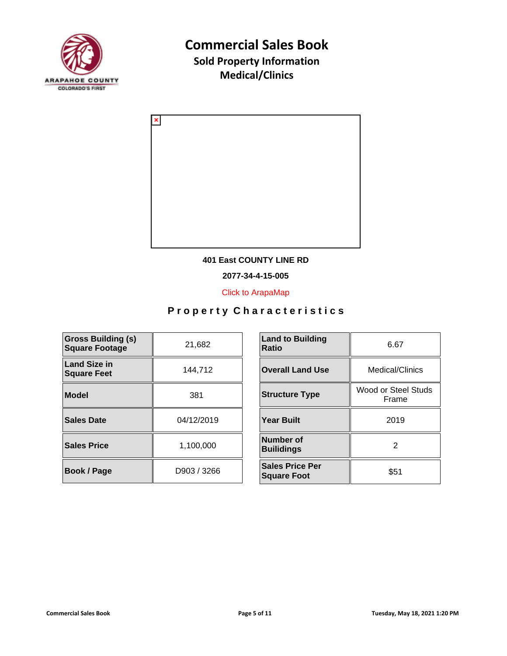



#### **401 East COUNTY LINE RD**

**2077-34-4-15-005**

[Click to ArapaMap](https://gis.arapahoegov.com/arapamaplite/?PARCEL=2077-34-4-15-005)

| <b>Gross Building (s)</b><br><b>Square Footage</b> | 21,682      | <b>Land to Building</b><br><b>Ratio</b>      |
|----------------------------------------------------|-------------|----------------------------------------------|
| <b>Land Size in</b><br><b>Square Feet</b>          | 144,712     | <b>Overall Land Use</b>                      |
| <b>Model</b>                                       | 381         | <b>Structure Type</b>                        |
| <b>Sales Date</b>                                  | 04/12/2019  | <b>Year Built</b>                            |
| <b>Sales Price</b>                                 | 1,100,000   | Number of<br><b>Builidings</b>               |
| Book / Page                                        | D903 / 3266 | <b>Sales Price Per</b><br><b>Square Foot</b> |

| <b>Land to Building</b><br>Ratio             | 6.67                         |  |
|----------------------------------------------|------------------------------|--|
| <b>Overall Land Use</b>                      | Medical/Clinics              |  |
| <b>Structure Type</b>                        | Wood or Steel Studs<br>Frame |  |
| Year Built                                   | 2019                         |  |
| Number of<br><b>Builidings</b>               | 2                            |  |
| <b>Sales Price Per</b><br><b>Square Foot</b> | \$51                         |  |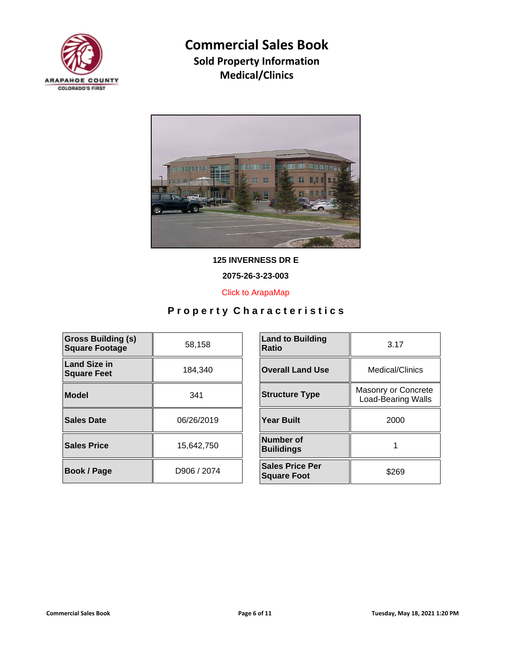



**125 INVERNESS DR E**

**2075-26-3-23-003**

[Click to ArapaMap](https://gis.arapahoegov.com/arapamaplite/?PARCEL=2075-26-3-23-003)

| <b>Gross Building (s)</b><br><b>Square Footage</b> | 58,158      | <b>Land to Building</b><br><b>Ratio</b>      |
|----------------------------------------------------|-------------|----------------------------------------------|
| <b>Land Size in</b><br><b>Square Feet</b>          | 184,340     | <b>Overall Land Use</b>                      |
| <b>Model</b>                                       | 341         | <b>Structure Type</b>                        |
| <b>Sales Date</b>                                  | 06/26/2019  | <b>Year Built</b>                            |
| <b>Sales Price</b>                                 | 15,642,750  | <b>Number of</b><br><b>Builidings</b>        |
| <b>Book / Page</b>                                 | D906 / 2074 | <b>Sales Price Per</b><br><b>Square Foot</b> |

| <b>Land to Building</b><br>Ratio             | 3.17                                             |  |
|----------------------------------------------|--------------------------------------------------|--|
| <b>Overall Land Use</b>                      | Medical/Clinics                                  |  |
| <b>Structure Type</b>                        | Masonry or Concrete<br><b>Load-Bearing Walls</b> |  |
| Year Built                                   | 2000                                             |  |
| Number of<br><b>Builidings</b>               |                                                  |  |
| <b>Sales Price Per</b><br><b>Square Foot</b> | \$269                                            |  |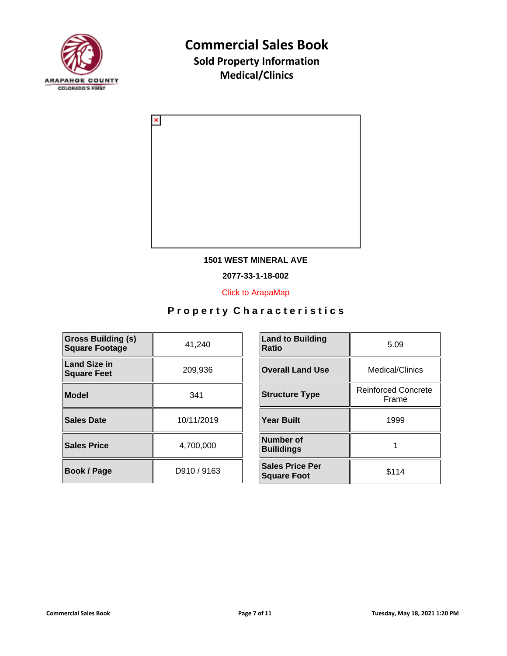



#### **1501 WEST MINERAL AVE**

**2077-33-1-18-002**

[Click to ArapaMap](https://gis.arapahoegov.com/arapamaplite/?PARCEL=2077-33-1-18-002)

| <b>Gross Building (s)</b><br><b>Square Footage</b> | 41,240      | <b>Land to Building</b><br><b>Ratio</b>      |
|----------------------------------------------------|-------------|----------------------------------------------|
| <b>Land Size in</b><br><b>Square Feet</b>          | 209,936     | <b>Overall Land Use</b>                      |
| <b>Model</b>                                       | 341         | <b>Structure Type</b>                        |
| <b>Sales Date</b>                                  | 10/11/2019  | <b>Year Built</b>                            |
| <b>Sales Price</b>                                 | 4,700,000   | <b>Number of</b><br><b>Builidings</b>        |
| <b>Book / Page</b>                                 | D910 / 9163 | <b>Sales Price Per</b><br><b>Square Foot</b> |

| <b>Land to Building</b><br>Ratio             | 5.09                                |  |
|----------------------------------------------|-------------------------------------|--|
| <b>Overall Land Use</b>                      | Medical/Clinics                     |  |
| <b>Structure Type</b>                        | <b>Reinforced Concrete</b><br>Frame |  |
| <b>Year Built</b>                            | 1999                                |  |
| Number of<br><b>Builidings</b>               |                                     |  |
| <b>Sales Price Per</b><br><b>Square Foot</b> | \$114                               |  |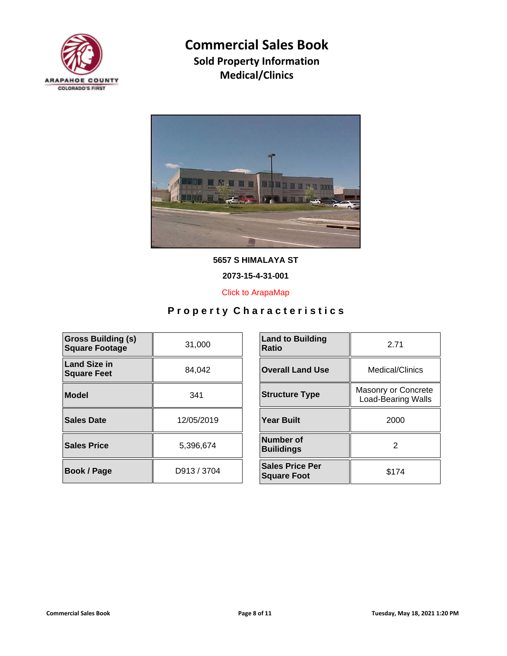



**5657 S HIMALAYA ST**

**2073-15-4-31-001**

[Click to ArapaMap](https://gis.arapahoegov.com/arapamaplite/?PARCEL=2073-15-4-31-001)

| <b>Gross Building (s)</b><br><b>Square Footage</b> | 31,000      | <b>Land to Building</b><br><b>Ratio</b>      |
|----------------------------------------------------|-------------|----------------------------------------------|
| <b>Land Size in</b><br><b>Square Feet</b>          | 84,042      | <b>Overall Land Use</b>                      |
| Model                                              | 341         | <b>Structure Type</b>                        |
| Sales Date                                         | 12/05/2019  | <b>Year Built</b>                            |
| <b>Sales Price</b>                                 | 5,396,674   | Number of<br><b>Builidings</b>               |
| <b>Book / Page</b>                                 | D913 / 3704 | <b>Sales Price Per</b><br><b>Square Foot</b> |

| <b>Land to Building</b><br>Ratio             | 2.71                                             |  |
|----------------------------------------------|--------------------------------------------------|--|
| <b>Overall Land Use</b>                      | Medical/Clinics                                  |  |
| <b>Structure Type</b>                        | Masonry or Concrete<br><b>Load-Bearing Walls</b> |  |
| Year Built                                   | 2000                                             |  |
| Number of<br><b>Builidings</b>               | 2                                                |  |
| <b>Sales Price Per</b><br><b>Square Foot</b> | \$174                                            |  |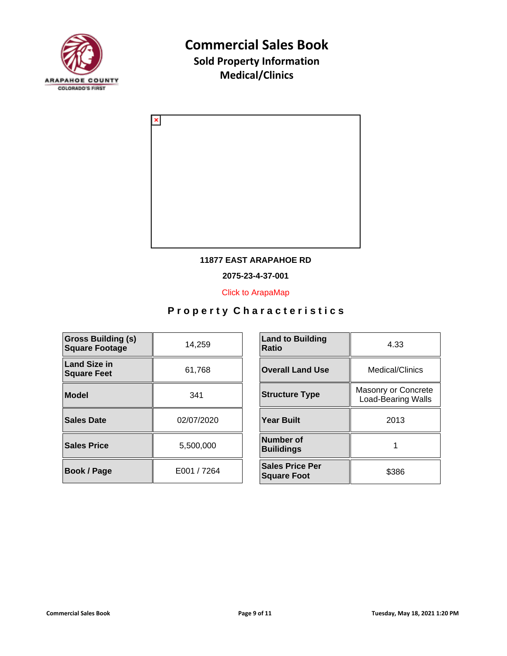



#### **11877 EAST ARAPAHOE RD**

**2075-23-4-37-001**

[Click to ArapaMap](https://gis.arapahoegov.com/arapamaplite/?PARCEL=2075-23-4-37-001)

| <b>Gross Building (s)</b><br><b>Square Footage</b> | 14,259      | <b>Land to Building</b><br><b>Ratio</b>      |
|----------------------------------------------------|-------------|----------------------------------------------|
| <b>Land Size in</b><br><b>Square Feet</b>          | 61,768      | <b>Overall Land Use</b>                      |
| <b>Model</b>                                       | 341         | <b>Structure Type</b>                        |
| <b>Sales Date</b>                                  | 02/07/2020  | <b>Year Built</b>                            |
| <b>Sales Price</b>                                 | 5,500,000   | Number of<br><b>Builidings</b>               |
| Book / Page                                        | E001 / 7264 | <b>Sales Price Per</b><br><b>Square Foot</b> |

| <b>Land to Building</b><br>Ratio             | 4.33                                             |  |
|----------------------------------------------|--------------------------------------------------|--|
| <b>Overall Land Use</b>                      | Medical/Clinics                                  |  |
| <b>Structure Type</b>                        | Masonry or Concrete<br><b>Load-Bearing Walls</b> |  |
| <b>Year Built</b>                            | 2013                                             |  |
| Number of<br><b>Builidings</b>               |                                                  |  |
| <b>Sales Price Per</b><br><b>Square Foot</b> | \$386                                            |  |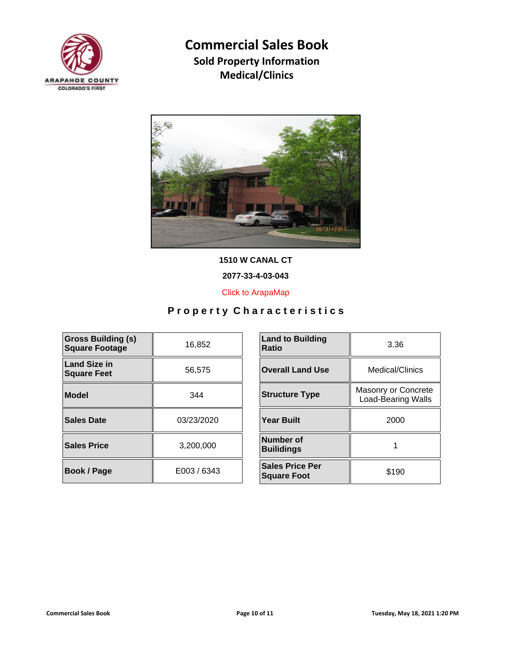



**1510 W CANAL CT**

**2077-33-4-03-043**

[Click to ArapaMap](https://gis.arapahoegov.com/arapamaplite/?PARCEL=2077-33-4-03-043)

| <b>Gross Building (s)</b><br><b>Square Footage</b> | 16,852      | <b>Land to Building</b><br><b>Ratio</b>      |
|----------------------------------------------------|-------------|----------------------------------------------|
| <b>Land Size in</b><br><b>Square Feet</b>          | 56,575      | <b>Overall Land Use</b>                      |
| <b>Model</b>                                       | 344         | <b>Structure Type</b>                        |
| <b>Sales Date</b>                                  | 03/23/2020  | <b>Year Built</b>                            |
| <b>Sales Price</b>                                 | 3,200,000   | Number of<br><b>Builidings</b>               |
| Book / Page                                        | E003 / 6343 | <b>Sales Price Per</b><br><b>Square Foot</b> |

| <b>Land to Building</b><br>Ratio             | 3.36                                             |  |
|----------------------------------------------|--------------------------------------------------|--|
| <b>Overall Land Use</b>                      | Medical/Clinics                                  |  |
| <b>Structure Type</b>                        | Masonry or Concrete<br><b>Load-Bearing Walls</b> |  |
| <b>Year Built</b>                            | 2000                                             |  |
| Number of<br><b>Builidings</b>               |                                                  |  |
| <b>Sales Price Per</b><br><b>Square Foot</b> | \$190                                            |  |